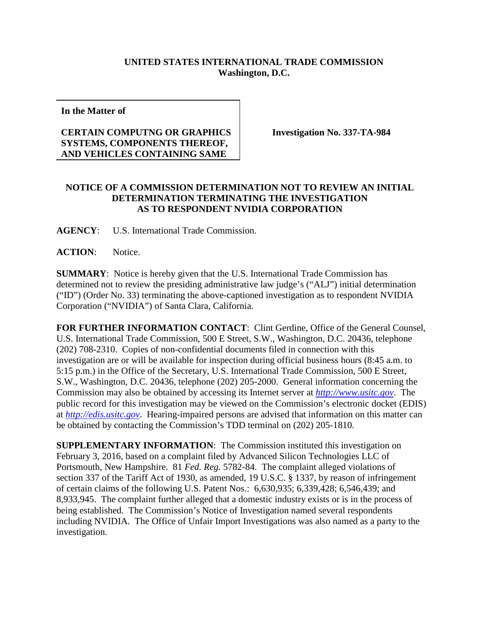## **UNITED STATES INTERNATIONAL TRADE COMMISSION Washington, D.C.**

**In the Matter of**

## **CERTAIN COMPUTNG OR GRAPHICS SYSTEMS, COMPONENTS THEREOF, AND VEHICLES CONTAINING SAME**

**Investigation No. 337-TA-984**

## **NOTICE OF A COMMISSION DETERMINATION NOT TO REVIEW AN INITIAL DETERMINATION TERMINATING THE INVESTIGATION AS TO RESPONDENT NVIDIA CORPORATION**

**AGENCY**: U.S. International Trade Commission.

**ACTION**: Notice.

**SUMMARY**: Notice is hereby given that the U.S. International Trade Commission has determined not to review the presiding administrative law judge's ("ALJ") initial determination ("ID") (Order No. 33) terminating the above-captioned investigation as to respondent NVIDIA Corporation ("NVIDIA") of Santa Clara, California.

**FOR FURTHER INFORMATION CONTACT**: Clint Gerdine, Office of the General Counsel, U.S. International Trade Commission, 500 E Street, S.W., Washington, D.C. 20436, telephone (202) 708-2310. Copies of non-confidential documents filed in connection with this investigation are or will be available for inspection during official business hours (8:45 a.m. to 5:15 p.m.) in the Office of the Secretary, U.S. International Trade Commission, 500 E Street, S.W., Washington, D.C. 20436, telephone (202) 205-2000. General information concerning the Commission may also be obtained by accessing its Internet server at *[http://www.usitc.gov](http://www.usitc.gov/)*. The public record for this investigation may be viewed on the Commission's electronic docket (EDIS) at *[http://edis.usitc.gov](http://edis.usitc.gov/)*. Hearing-impaired persons are advised that information on this matter can be obtained by contacting the Commission's TDD terminal on (202) 205-1810.

**SUPPLEMENTARY INFORMATION**: The Commission instituted this investigation on February 3, 2016, based on a complaint filed by Advanced Silicon Technologies LLC of Portsmouth, New Hampshire. 81 *Fed. Reg.* 5782-84. The complaint alleged violations of section 337 of the Tariff Act of 1930, as amended, 19 U.S.C. § 1337, by reason of infringement of certain claims of the following U.S. Patent Nos.: 6,630,935; 6,339,428; 6,546,439; and 8,933,945. The complaint further alleged that a domestic industry exists or is in the process of being established. The Commission's Notice of Investigation named several respondents including NVIDIA. The Office of Unfair Import Investigations was also named as a party to the investigation.